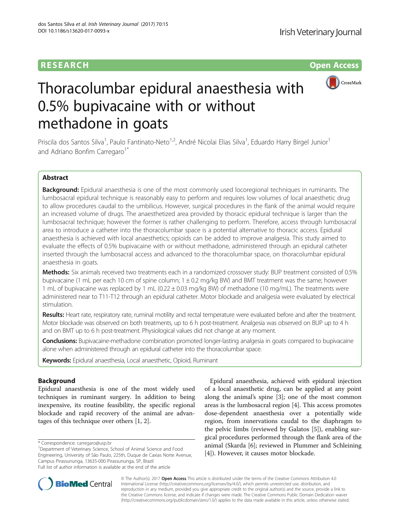## **RESEARCH RESEARCH** *CONSTRUCTER ACCESS*



# Thoracolumbar epidural anaesthesia with 0.5% bupivacaine with or without methadone in goats

Priscila dos Santos Silva<sup>1</sup>, Paulo Fantinato-Neto<sup>1,2</sup>, André Nicolai Elias Silva<sup>1</sup>, Eduardo Harry Birgel Junior<sup>1</sup> and Adriano Bonfim Carregaro<sup>1\*</sup>

## Abstract

Background: Epidural anaesthesia is one of the most commonly used locoregional techniques in ruminants. The lumbosacral epidural technique is reasonably easy to perform and requires low volumes of local anaesthetic drug to allow procedures caudal to the umbilicus. However, surgical procedures in the flank of the animal would require an increased volume of drugs. The anaesthetized area provided by thoracic epidural technique is larger than the lumbosacral technique; however the former is rather challenging to perform. Therefore, access through lumbosacral area to introduce a catheter into the thoracolumbar space is a potential alternative to thoracic access. Epidural anaesthesia is achieved with local anaesthetics; opioids can be added to improve analgesia. This study aimed to evaluate the effects of 0.5% bupivacaine with or without methadone, administered through an epidural catheter inserted through the lumbosacral access and advanced to the thoracolumbar space, on thoracolumbar epidural anaesthesia in goats.

Methods: Six animals received two treatments each in a randomized crossover study: BUP treatment consisted of 0.5% bupivacaine (1 mL per each 10 cm of spine column; 1 ± 0.2 mg/kg BW) and BMT treatment was the same; however 1 mL of bupivacaine was replaced by 1 mL (0.22 ± 0.03 mg/kg BW) of methadone (10 mg/mL). The treatments were administered near to T11-T12 through an epidural catheter. Motor blockade and analgesia were evaluated by electrical stimulation.

Results: Heart rate, respiratory rate, ruminal motility and rectal temperature were evaluated before and after the treatment. Motor blockade was observed on both treatments, up to 6 h post-treatment. Analgesia was observed on BUP up to 4 h and on BMT up to 6 h post-treatment. Physiological values did not change at any moment.

**Conclusions:** Bupivacaine-methadone combination promoted longer-lasting analgesia in goats compared to bupivacaine alone when administered through an epidural catheter into the thoracolumbar space.

Keywords: Epidural anaesthesia, Local anaesthetic, Opioid, Ruminant

## Background

Epidural anaesthesia is one of the most widely used techniques in ruminant surgery. In addition to being inexpensive, its routine feasibility, the specific regional blockade and rapid recovery of the animal are advantages of this technique over others [\[1](#page-6-0), [2](#page-6-0)].

\* Correspondence: [carregaro@usp.br](mailto:carregaro@usp.br) <sup>1</sup>

<sup>1</sup>Department of Veterinary Science, School of Animal Science and Food Engineering, University of São Paulo, 225th, Duque de Caxias Norte Avenue, Campus Pirassununga, 13635-000 Pirassununga, SP, Brazil Full list of author information is available at the end of the article

Epidural anaesthesia, achieved with epidural injection of a local anaesthetic drug, can be applied at any point along the animal's spine [\[3](#page-6-0)]; one of the most common areas is the lumbosacral region [[4\]](#page-6-0). This access promotes dose-dependent anaesthesia over a potentially wide region, from innervations caudal to the diaphragm to the pelvic limbs (reviewed by Galatos [\[5](#page-6-0)]), enabling surgical procedures performed through the flank area of the animal (Skarda [[6\]](#page-6-0); reviewed in Plummer and Schleining [[4\]](#page-6-0)). However, it causes motor blockade.



© The Author(s). 2017 **Open Access** This article is distributed under the terms of the Creative Commons Attribution 4.0 International License [\(http://creativecommons.org/licenses/by/4.0/](http://creativecommons.org/licenses/by/4.0/)), which permits unrestricted use, distribution, and reproduction in any medium, provided you give appropriate credit to the original author(s) and the source, provide a link to the Creative Commons license, and indicate if changes were made. The Creative Commons Public Domain Dedication waiver [\(http://creativecommons.org/publicdomain/zero/1.0/](http://creativecommons.org/publicdomain/zero/1.0/)) applies to the data made available in this article, unless otherwise stated.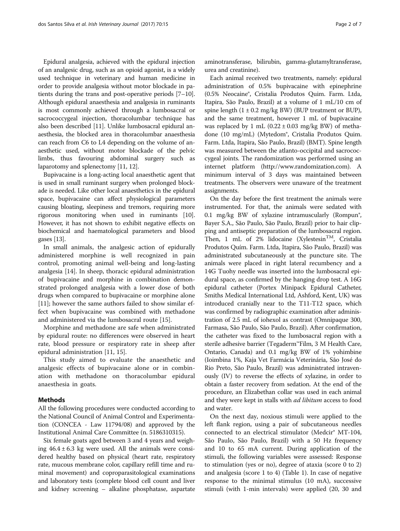Epidural analgesia, achieved with the epidural injection of an analgesic drug, such as an opioid agonist, is a widely used technique in veterinary and human medicine in order to provide analgesia without motor blockade in patients during the trans and post-operative periods [\[7](#page-6-0)–[10](#page-6-0)]. Although epidural anaesthesia and analgesia in ruminants is most commonly achieved through a lumbosacral or sacrococcygeal injection, thoracolumbar technique has also been described [[11\]](#page-6-0). Unlike lumbosacral epidural anaesthesia, the blocked area in thoracolumbar anaesthesia can reach from C6 to L4 depending on the volume of anaesthetic used, without motor blockade of the pelvic limbs, thus favouring abdominal surgery such as laparotomy and splenectomy [[11, 12\]](#page-6-0).

Bupivacaine is a long-acting local anaesthetic agent that is used in small ruminant surgery when prolonged blockade is needed. Like other local anaesthetics in the epidural space, bupivacaine can affect physiological parameters causing bloating, sleepiness and tremors, requiring more rigorous monitoring when used in ruminants [[10](#page-6-0)]. However, it has not shown to exhibit negative effects on biochemical and haematological parameters and blood gases [\[13\]](#page-6-0).

In small animals, the analgesic action of epidurally administered morphine is well recognized in pain control, promoting animal well-being and long-lasting analgesia [[14](#page-6-0)]. In sheep, thoracic epidural administration of bupivacaine and morphine in combination demonstrated prolonged analgesia with a lower dose of both drugs when compared to bupivacaine or morphine alone [[11\]](#page-6-0); however the same authors failed to show similar effect when bupivacaine was combined with methadone and administered via the lumbosacral route [[15\]](#page-6-0).

Morphine and methadone are safe when administrated by epidural route: no differences were observed in heart rate, blood pressure or respiratory rate in sheep after epidural administration [[11](#page-6-0), [15](#page-6-0)].

This study aimed to evaluate the anaesthetic and analgesic effects of bupivacaine alone or in combination with methadone on thoracolumbar epidural anaesthesia in goats.

## Methods

All the following procedures were conducted according to the National Council of Animal Control and Experimentation (CONCEA - Law 11794/08) and approved by the Institutional Animal Care Committee (n. 5186310315).

Six female goats aged between 3 and 4 years and weighing  $46.4 \pm 6.3$  kg were used. All the animals were considered healthy based on physical (heart rate, respiratory rate, mucous membrane color, capillary refill time and ruminal movement) and coproparasitological examinations and laboratory tests (complete blood cell count and liver and kidney screening – alkaline phosphatase, aspartate

aminotransferase, bilirubin, gamma-glutamyltransferase, urea and creatinine).

Each animal received two treatments, namely: epidural administration of 0.5% bupivacaine with epinephrine (0.5% Neocaine®, Cristalia Produtos Quim. Farm. Ltda, Itapira, São Paulo, Brazil) at a volume of 1 mL/10 cm of spine length  $(1 \pm 0.2 \text{ mg/kg BW})$  (BUP treatment or BUP), and the same treatment, however 1 mL of bupivacaine was replaced by 1 mL  $(0.22 \pm 0.03 \text{ mg/kg BW})$  of methadone (10 mg/mL) (Mytedom®, Cristalia Produtos Quim. Farm. Ltda, Itapira, São Paulo, Brazil) (BMT). Spine length was measured between the atlanto-occipital and sacrococcygeal joints. The randomization was performed using an internet platform ([http://www.randomization.com](http://www.randomization.com/)). A minimum interval of 3 days was maintained between treatments. The observers were unaware of the treatment assignments.

On the day before the first treatment the animals were instrumented. For that, the animals were sedated with 0.1 mg/kg BW of xylazine intramuscularly (Rompun<sup>®</sup>, Bayer S.A., São Paulo, São Paulo, Brazil) prior to hair clipping and antiseptic preparation of the lumbosacral region. Then, 1 mL of 2% lidocaine (Xylestesin<sup>TM</sup>, Cristalia Produtos Quím. Farm. Ltda, Itapira, São Paulo, Brazil) was administrated subcutaneously at the puncture site. The animals were placed in right lateral recumbency and a 14G Tuohy needle was inserted into the lumbosacral epidural space, as confirmed by the hanging drop test. A 16G epidural catheter (Portex Minipack Epidural Catheter, Smiths Medical International Ltd, Ashford, Kent, UK) was introduced cranially near to the T11-T12 space, which was confirmed by radiographic examination after administration of 2.5 mL of iohexol as contrast (Omnipaque 300, Farmasa, São Paulo, São Paulo, Brazil). After confirmation, the catheter was fixed to the lumbosacral region with a sterile adhesive barrier (Tegaderm™Film, 3 M Health Care, Ontario, Canada) and 0.1 mg/kg BW of 1% yohimbine (Ioimbina 1%, Kaja Vet Farmácia Veterinária, São José do Rio Preto, São Paulo, Brazil) was administrated intravenously (IV) to reverse the effects of xylazine, in order to obtain a faster recovery from sedation. At the end of the procedure, an Elizabethan collar was used in each animal and they were kept in stalls with *ad libitum* access to food and water.

On the next day, noxious stimuli were applied to the left flank region, using a pair of subcutaneous needles connected to an electrical stimulator (Medcir® MT-104, São Paulo, São Paulo, Brazil) with a 50 Hz frequency and 10 to 65 mA current. During application of the stimuli, the following variables were assessed: Response to stimulation (yes or no), degree of ataxia (score 0 to 2) and analgesia (score 1 to 4) (Table [1\)](#page-2-0). In case of negative response to the minimal stimulus (10 mA), successive stimuli (with 1-min intervals) were applied (20, 30 and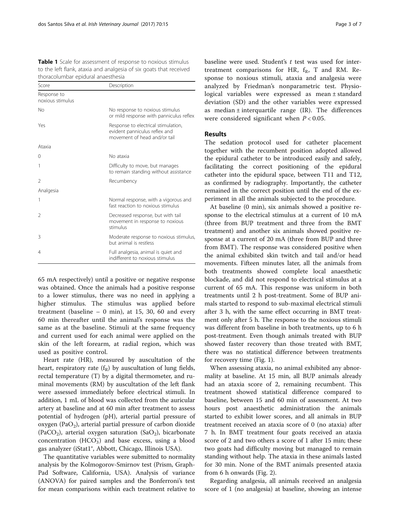<span id="page-2-0"></span>Table 1 Scale for assessment of response to noxious stimulus to the left flank, ataxia and analgesia of six goats that received thoracolumbar epidural anaesthesia

| Score                           | Description                                                                                          |  |  |
|---------------------------------|------------------------------------------------------------------------------------------------------|--|--|
| Response to<br>noxious stimulus |                                                                                                      |  |  |
| No                              | No response to noxious stimulus<br>or mild response with panniculus reflex                           |  |  |
| Yes                             | Response to electrical stimulation,<br>evident panniculus reflex and<br>movement of head and/or tail |  |  |
| Ataxia                          |                                                                                                      |  |  |
| 0                               | No ataxia                                                                                            |  |  |
| 1                               | Difficulty to move, but manages<br>to remain standing without assistance                             |  |  |
| $\mathfrak{D}$                  | Recumbency                                                                                           |  |  |
| Analgesia                       |                                                                                                      |  |  |
| 1                               | Normal response, with a vigorous and<br>fast reaction to noxious stimulus                            |  |  |
| $\mathfrak{D}$                  | Decreased response, but with tail<br>movement in response to noxious<br>stimulus                     |  |  |
| 3                               | Moderate response to noxious stimulus,<br>but animal is restless                                     |  |  |
| 4                               | Full analgesia, animal is quiet and<br>indifferent to noxious stimulus                               |  |  |

65 mA respectively) until a positive or negative response was obtained. Once the animals had a positive response to a lower stimulus, there was no need in applying a higher stimulus. The stimulus was applied before treatment (baseline  $- 0$  min), at 15, 30, 60 and every 60 min thereafter until the animal's response was the same as at the baseline. Stimuli at the same frequency and current used for each animal were applied on the skin of the left forearm, at radial region, which was used as positive control.

Heart rate (HR), measured by auscultation of the heart, respiratory rate  $(f_R)$  by auscultation of lung fields, rectal temperature (T) by a digital thermometer, and ruminal movements (RM) by auscultation of the left flank were assessed immediately before electrical stimuli. In addition, 1 mL of blood was collected from the auricular artery at baseline and at 60 min after treatment to assess potential of hydrogen (pH), arterial partial pressure of oxygen (Pa $O_2$ ), arterial partial pressure of carbon dioxide (PaCO<sub>2</sub>), arterial oxygen saturation (SaO<sub>2</sub>), bicarbonate concentration (HCO<sub>3</sub>) and base excess, using a blood gas analyzer (iStat1®, Abbott, Chicago, Illinois USA).

The quantitative variables were submitted to normality analysis by the Kolmogorov-Smirnov test (Prism, Graph-Pad Software, California, USA). Analysis of variance (ANOVA) for paired samples and the Bonferroni's test for mean comparisons within each treatment relative to

baseline were used. Student's  $t$  test was used for intertreatment comparisons for HR,  $f_R$ , T and RM. Response to noxious stimuli, ataxia and analgesia were analyzed by Friedman's nonparametric test. Physiological variables were expressed as mean ± standard deviation (SD) and the other variables were expressed as median  $\pm$  interquartile range (IR). The differences were considered significant when  $P < 0.05$ .

## Results

The sedation protocol used for catheter placement together with the recumbent position adopted allowed the epidural catheter to be introduced easily and safely, facilitating the correct positioning of the epidural catheter into the epidural space, between T11 and T12, as confirmed by radiography. Importantly, the catheter remained in the correct position until the end of the experiment in all the animals subjected to the procedure.

At baseline (0 min), six animals showed a positive response to the electrical stimulus at a current of 10 mA (three from BUP treatment and three from the BMT treatment) and another six animals showed positive response at a current of 20 mA (three from BUP and three from BMT). The response was considered positive when the animal exhibited skin twitch and tail and/or head movements. Fifteen minutes later, all the animals from both treatments showed complete local anaesthetic blockade, and did not respond to electrical stimulus at a current of 65 mA. This response was uniform in both treatments until 2 h post-treatment. Some of BUP animals started to respond to sub-maximal electrical stimuli after 3 h, with the same effect occurring in BMT treatment only after 5 h. The response to the noxious stimuli was different from baseline in both treatments, up to 6 h post-treatment. Even though animals treated with BUP showed faster recovery than those treated with BMT, there was no statistical difference between treatments for recovery time (Fig. [1\)](#page-3-0).

When assessing ataxia, no animal exhibited any abnormality at baseline. At 15 min, all BUP animals already had an ataxia score of 2, remaining recumbent. This treatment showed statistical difference compared to baseline, between 15 and 60 min of assessment. At two hours post anaesthetic administration the animals started to exhibit lower scores, and all animals in BUP treatment received an ataxia score of 0 (no ataxia) after 7 h. In BMT treatment four goats received an ataxia score of 2 and two others a score of 1 after 15 min; these two goats had difficulty moving but managed to remain standing without help. The ataxia in these animals lasted for 30 min. None of the BMT animals presented ataxia from 6 h onwards (Fig. [2\)](#page-3-0).

Regarding analgesia, all animals received an analgesia score of 1 (no analgesia) at baseline, showing an intense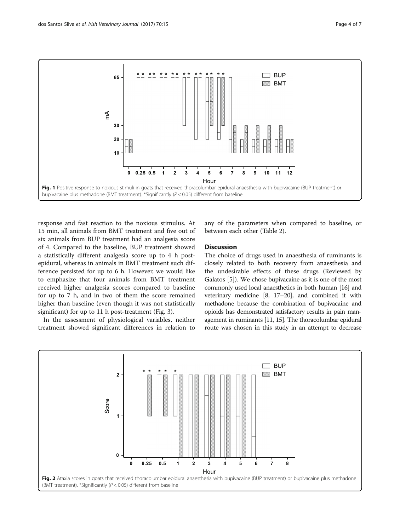<span id="page-3-0"></span>

response and fast reaction to the noxious stimulus. At 15 min, all animals from BMT treatment and five out of six animals from BUP treatment had an analgesia score of 4. Compared to the baseline, BUP treatment showed a statistically different analgesia score up to 4 h postepidural, whereas in animals in BMT treatment such difference persisted for up to 6 h. However, we would like to emphasize that four animals from BMT treatment received higher analgesia scores compared to baseline for up to 7 h, and in two of them the score remained higher than baseline (even though it was not statistically significant) for up to 11 h post-treatment (Fig. [3](#page-4-0)).

In the assessment of physiological variables, neither treatment showed significant differences in relation to

any of the parameters when compared to baseline, or between each other (Table [2\)](#page-4-0).

## Discussion

The choice of drugs used in anaesthesia of ruminants is closely related to both recovery from anaesthesia and the undesirable effects of these drugs (Reviewed by Galatos [[5\]](#page-6-0)). We chose bupivacaine as it is one of the most commonly used local anaesthetics in both human [\[16\]](#page-6-0) and veterinary medicine [[8](#page-6-0), [17](#page-6-0)–[20](#page-6-0)], and combined it with methadone because the combination of bupivacaine and opioids has demonstrated satisfactory results in pain management in ruminants [\[11](#page-6-0), [15](#page-6-0)]. The thoracolumbar epidural route was chosen in this study in an attempt to decrease

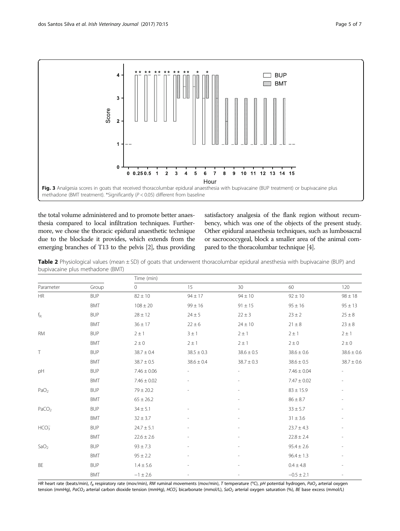<span id="page-4-0"></span>

the total volume administered and to promote better anaesthesia compared to local infiltration techniques. Furthermore, we chose the thoracic epidural anaesthetic technique due to the blockade it provides, which extends from the emerging branches of T13 to the pelvis [\[2\]](#page-6-0), thus providing satisfactory analgesia of the flank region without recumbency, which was one of the objects of the present study. Other epidural anaesthesia techniques, such as lumbosacral or sacrococcygeal, block a smaller area of the animal compared to the thoracolumbar technique [[4](#page-6-0)].

Table 2 Physiological values (mean  $\pm$  SD) of goats that underwent thoracolumbar epidural anesthesia with bupivacaine (BUP) and bupivacaine plus methadone (BMT)

| Parameter         | Group      | Time (min)      |                |                          |                 |                          |  |
|-------------------|------------|-----------------|----------------|--------------------------|-----------------|--------------------------|--|
|                   |            | $\circ$         | 15             | 30                       | 60              | 120                      |  |
| HR                | <b>BUP</b> | $82 \pm 10$     | $94 \pm 17$    | $94 \pm 10$              | $92 \pm 10$     | $98 \pm 18$              |  |
|                   | <b>BMT</b> | $108 \pm 20$    | $99 \pm 16$    | $91 \pm 15$              | $95 \pm 16$     | $95 \pm 13$              |  |
| $f_{\rm R}$       | <b>BUP</b> | $28 \pm 12$     | $24 \pm 5$     | $22 \pm 3$               | $23 \pm 2$      | $25 \pm 8$               |  |
|                   | <b>BMT</b> | $36 \pm 17$     | $22 \pm 6$     | $24 \pm 10$              | $21 \pm 8$      | $23 \pm 8$               |  |
| <b>RM</b>         | <b>BUP</b> | $2 \pm 1$       | $3 \pm 1$      | $2 \pm 1$                | $2 \pm 1$       | $2 \pm 1$                |  |
|                   | <b>BMT</b> | $2 \pm 0$       | $2 \pm 1$      | $2 \pm 1$                | $2 \pm 0$       | $2 \pm 0$                |  |
| $\top$            | <b>BUP</b> | $38.7 \pm 0.4$  | $38.5 \pm 0.3$ | $38.6 \pm 0.5$           | $38.6 \pm 0.6$  | $38.6 \pm 0.6$           |  |
|                   | <b>BMT</b> | $38.7 \pm 0.5$  | $38.6 \pm 0.4$ | $38.7 \pm 0.3$           | $38.6 \pm 0.5$  | $38.7 \pm 0.6$           |  |
| pH                | <b>BUP</b> | $7.46 \pm 0.06$ |                |                          | $7.46 \pm 0.04$ |                          |  |
|                   | <b>BMT</b> | $7.46 \pm 0.02$ |                |                          | $7.47 \pm 0.02$ |                          |  |
| PaO <sub>2</sub>  | <b>BUP</b> | $79 \pm 20.2$   |                | $\overline{\phantom{a}}$ | $83 \pm 15.9$   | $\overline{\phantom{a}}$ |  |
|                   | <b>BMT</b> | $65 \pm 26.2$   |                |                          | $86 \pm 8.7$    | $\overline{\phantom{a}}$ |  |
| PaCO <sub>2</sub> | <b>BUP</b> | $34 \pm 5.1$    |                |                          | $33 \pm 5.7$    | $\overline{\phantom{a}}$ |  |
|                   | <b>BMT</b> | $32 \pm 3.7$    |                |                          | $31 \pm 3.6$    |                          |  |
| HCO <sub>3</sub>  | <b>BUP</b> | $24.7 \pm 5.1$  |                | $\overline{a}$           | $23.7 \pm 4.3$  | $\overline{\phantom{a}}$ |  |
|                   | <b>BMT</b> | $22.6 \pm 2.6$  |                |                          | $22.8 \pm 2.4$  |                          |  |
| SaO <sub>2</sub>  | <b>BUP</b> | $93 \pm 7.3$    |                |                          | $95.4 \pm 2.6$  |                          |  |
|                   | <b>BMT</b> | $95 \pm 2.2$    |                | $\overline{a}$           | $96.4 \pm 1.3$  | $\overline{\phantom{a}}$ |  |
| BE                | <b>BUP</b> | $1.4 \pm 5.6$   |                |                          | $0.4 \pm 4.8$   |                          |  |
|                   | <b>BMT</b> | $-1 \pm 2.6$    |                | $\overline{a}$           | $-0.5 \pm 2.1$  | $\overline{\phantom{a}}$ |  |

HR heart rate (beats/min),  $f_R$  respiratory rate (mov/min), RM ruminal movements (mov/min), T temperature (<sup>o</sup>C), pH potential hydrogen, PaO<sub>2</sub> arterial oxygen tension (mmHg), PaCO<sub>2</sub> arterial carbon dioxide tension (mmHg), HCO $_3^-$  bicarbonate (mmol/L), SaO<sub>2</sub> arterial oxygen saturation (%), BE base excess (mmol/L)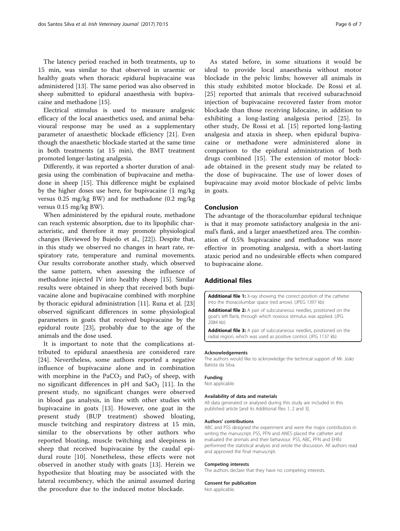The latency period reached in both treatments, up to 15 min, was similar to that observed in uraemic or healthy goats when thoracic epidural bupivacaine was administered [[13\]](#page-6-0). The same period was also observed in sheep submitted to epidural anaesthesia with bupivacaine and methadone [\[15](#page-6-0)].

Electrical stimulus is used to measure analgesic efficacy of the local anaesthetics used, and animal behavioural response may be used as a supplementary parameter of anaesthetic blockade efficiency [\[21](#page-6-0)]. Even though the anaesthetic blockade started at the same time in both treatments (at 15 min), the BMT treatment promoted longer-lasting analgesia.

Differently, it was reported a shorter duration of analgesia using the combination of bupivacaine and methadone in sheep [[15\]](#page-6-0). This difference might be explained by the higher doses use here, for bupivacaine (1 mg/kg versus 0.25 mg/kg BW) and for methadone (0.2 mg/kg versus 0.15 mg/kg BW).

When administered by the epidural route, methadone can reach systemic absorption, due to its lipophilic characteristic, and therefore it may promote physiological changes (Reviewed by Bujedo et al., [\[22\]](#page-6-0)). Despite that, in this study we observed no changes in heart rate, respiratory rate, temperature and ruminal movements. Our results corroborate another study, which observed the same pattern, when assessing the influence of methadone injected IV into healthy sheep [\[15\]](#page-6-0). Similar results were obtained in sheep that received both bupivacaine alone and bupivacaine combined with morphine by thoracic epidural administration [\[11](#page-6-0)]. Runa et al. [[23](#page-6-0)] observed significant differences in some physiological parameters in goats that received bupivacaine by the epidural route [[23\]](#page-6-0), probably due to the age of the animals and the dose used.

It is important to note that the complications attributed to epidural anaesthesia are considered rare [[24\]](#page-6-0). Nevertheless, some authors reported a negative influence of bupivacaine alone and in combination with morphine in the  $PaCO<sub>2</sub>$  and  $PaO<sub>2</sub>$  of sheep, with no significant differences in pH and  $SaO<sub>2</sub>$  [[11\]](#page-6-0). In the present study, no significant changes were observed in blood gas analysis, in line with other studies with bupivacaine in goats [\[13](#page-6-0)]. However, one goat in the present study (BUP treatment) showed bloating, muscle twitching and respiratory distress at 15 min, similar to the observations by other authors who reported bloating, muscle twitching and sleepiness in sheep that received bupivacaine by the caudal epidural route [[10](#page-6-0)]. Nonetheless, these effects were not observed in another study with goats [\[13](#page-6-0)]. Herein we hypothesize that bloating may be associated with the lateral recumbency, which the animal assumed during the procedure due to the induced motor blockade.

As stated before, in some situations it would be ideal to provide local anaesthesia without motor blockade in the pelvic limbs; however all animals in this study exhibited motor blockade. De Rossi et al. [[25\]](#page-6-0) reported that animals that received subarachnoid injection of bupivacaine recovered faster from motor blockade than those receiving lidocaine, in addition to exhibiting a long-lasting analgesia period [\[25](#page-6-0)]. In other study, De Rossi et al. [[15\]](#page-6-0) reported long-lasting analgesia and ataxia in sheep, when epidural bupivacaine or methadone were administered alone in comparison to the epidural administration of both drugs combined [[15](#page-6-0)]. The extension of motor blockade obtained in the present study may be related to the dose of bupivacaine. The use of lower doses of bupivacaine may avoid motor blockade of pelvic limbs in goats.

## Conclusion

The advantage of the thoracolumbar epidural technique is that it may promote satisfactory analgesia in the animal's flank, and a larger anaesthetized area. The combination of 0.5% bupivacaine and methadone was more effective in promoting analgesia, with a short-lasting ataxic period and no undesirable effects when compared to bupivacaine alone.

## Additional files

[Additional file 1:](dx.doi.org/10.1186/s13620-017-0093-x) X-ray showing the correct position of the catheter into the thoracolumbar space (red arrow). (JPEG 1397 kb)

[Additional file 2:](dx.doi.org/10.1186/s13620-017-0093-x) A pair of subcutaneous needles, positioned on the goat's left flank, through which noxious stimulus was applied. (JPG 2084 kb)

[Additional file 3:](dx.doi.org/10.1186/s13620-017-0093-x) A pair of subcutaneous needles, positioned on the radial region, which was used as positive control. (JPG 1137 kb)

#### Acknowledgements

The authors would like to acknowledge the technical support of Mr. João Batista da Silva.

#### Funding

Not applicable.

#### Availability of data and materials

All data generated or analysed during this study are included in this published article [and its Additional files 1, 2 and 3].

#### Authors' contributions

ABC and PSS designed the experiment and were the major contributors in writing the manuscript. PSS, PFN and ANES placed the catheter and evaluated the animals and their behaviour. PSS, ABC, PFN and EHBJ performed the statistical analysis and wrote the discussion. All authors read and approved the final manuscript.

#### Competing interests

The authors declare that they have no competing interests.

#### Consent for publication

Not applicable.